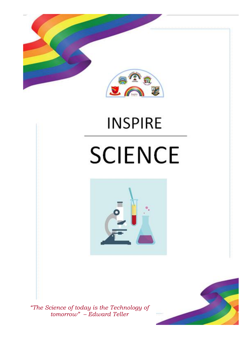

# **INSPIRE SCIENCE**



*"The Science of today is the Technology of tomorrow" – Edward Teller*

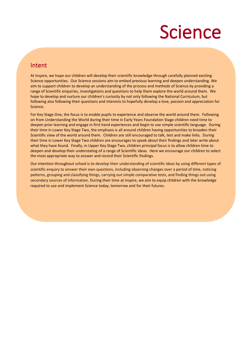## Science

### Intent

í

Ì

At Inspire, we hope our children will develop their scientific knowledge through carefully planned exciting Science opportunities. Our Science sessions aim to embed previous learning and deepen understanding. We aim to support children to develop an understanding of the process and methods of Science by providing a range of Scientific enquiries, investigations and questions to help them explore the world around them. We hope to develop and nurture our children's curiosity by not only following the National Curriculum, but following also following their questions and interests to hopefully develop a love, passion and appreciation for Science.

For Key Stage One, the focus is to enable pupils to experience and observe the world around them. Following on from Understanding the World during their time in Early Years Foundation Stage children need time to deepen prior learning and engage in first hand experiences and begin to use simple scientific language. During their time in Lower Key Stage Two, the emphasis is all around children having opportunities to broaden their Scientific view of the world around them. Children are still encouraged to talk, test and make links. During their time in Lower Key Stage Two children are encourages to speak about their findings and later write about what they have found. Finally, in Upper Key Stage Two, children principal focus is to allow children time to deepen and develop their understating of a range of Scientific ideas. Here we encourage our children to select the most appropriate way to answer and record their Scientific findings.

Our intention throughout school is to develop their understanding of scientific ideas by using different types of scientific enquiry to answer their own questions, including observing changes over a period of time, noticing patterns, grouping and classifying things, carrying out simple comparative tests, and finding things out using secondary sources of information. During their time at Inspire, we aim to equip children with the knowledge required to use and implement Science today, tomorrow and for their futures.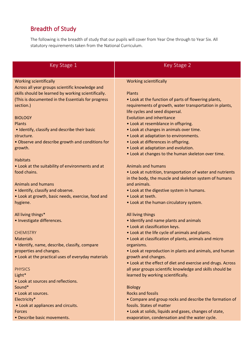## Breadth of Study

The following is the breadth of study that our pupils will cover from Year One through to Year Six. All statutory requirements taken from the National Curriculum.

| Key Stage 1                                                                      | Key Stage 2                                                                    |  |  |  |  |  |  |  |
|----------------------------------------------------------------------------------|--------------------------------------------------------------------------------|--|--|--|--|--|--|--|
|                                                                                  |                                                                                |  |  |  |  |  |  |  |
|                                                                                  |                                                                                |  |  |  |  |  |  |  |
| <b>Working scientifically</b><br>Across all year groups scientific knowledge and | <b>Working scientifically</b>                                                  |  |  |  |  |  |  |  |
| skills should be learned by working scientifically.                              | Plants                                                                         |  |  |  |  |  |  |  |
| (This is documented in the Essentials for progress                               | • Look at the function of parts of flowering plants,                           |  |  |  |  |  |  |  |
| section.)                                                                        | requirements of growth, water transportation in plants,                        |  |  |  |  |  |  |  |
|                                                                                  | life cycles and seed dispersal.                                                |  |  |  |  |  |  |  |
| <b>BIOLOGY</b>                                                                   | <b>Evolution and inheritance</b>                                               |  |  |  |  |  |  |  |
| Plants                                                                           | • Look at resemblance in offspring.                                            |  |  |  |  |  |  |  |
| • Identify, classify and describe their basic                                    | • Look at changes in animals over time.                                        |  |  |  |  |  |  |  |
| structure.                                                                       | • Look at adaptation to environments.                                          |  |  |  |  |  |  |  |
| • Observe and describe growth and conditions for                                 | • Look at differences in offspring.                                            |  |  |  |  |  |  |  |
| growth.                                                                          | • Look at adaptation and evolution.                                            |  |  |  |  |  |  |  |
|                                                                                  | • Look at changes to the human skeleton over time.                             |  |  |  |  |  |  |  |
| <b>Habitats</b>                                                                  |                                                                                |  |  |  |  |  |  |  |
| • Look at the suitability of environments and at                                 | <b>Animals and humans</b>                                                      |  |  |  |  |  |  |  |
| food chains.                                                                     | • Look at nutrition, transportation of water and nutrients                     |  |  |  |  |  |  |  |
| <b>Animals and humans</b>                                                        | in the body, the muscle and skeleton system of humans<br>and animals.          |  |  |  |  |  |  |  |
| · Identify, classify and observe.                                                | • Look at the digestive system in humans.                                      |  |  |  |  |  |  |  |
| • Look at growth, basic needs, exercise, food and                                | • Look at teeth.                                                               |  |  |  |  |  |  |  |
| hygiene.                                                                         | • Look at the human circulatory system.                                        |  |  |  |  |  |  |  |
|                                                                                  |                                                                                |  |  |  |  |  |  |  |
| All living things*                                                               | All living things                                                              |  |  |  |  |  |  |  |
| • Investigate differences.                                                       | • Identify and name plants and animals                                         |  |  |  |  |  |  |  |
|                                                                                  | . Look at classification keys.                                                 |  |  |  |  |  |  |  |
| <b>CHEMISTRY</b>                                                                 | . Look at the life cycle of animals and plants.                                |  |  |  |  |  |  |  |
| <b>Materials</b>                                                                 | • Look at classification of plants, animals and micro                          |  |  |  |  |  |  |  |
| · Identify, name, describe, classify, compare                                    | organisms.                                                                     |  |  |  |  |  |  |  |
| properties and changes.<br>• Look at the practical uses of everyday materials    | • Look at reproduction in plants and animals, and human<br>growth and changes. |  |  |  |  |  |  |  |
|                                                                                  | • Look at the effect of diet and exercise and drugs. Across                    |  |  |  |  |  |  |  |
| <b>PHYSICS</b>                                                                   | all year groups scientific knowledge and skills should be                      |  |  |  |  |  |  |  |
| Light*                                                                           | learned by working scientifically.                                             |  |  |  |  |  |  |  |
| • Look at sources and reflections.                                               |                                                                                |  |  |  |  |  |  |  |
| Sound*                                                                           | <b>Biology</b>                                                                 |  |  |  |  |  |  |  |
| • Look at sources.                                                               | <b>Rocks and fossils</b>                                                       |  |  |  |  |  |  |  |
| Electricity*                                                                     | • Compare and group rocks and describe the formation of                        |  |  |  |  |  |  |  |
| • Look at appliances and circuits.                                               | fossils. States of matter                                                      |  |  |  |  |  |  |  |
| <b>Forces</b>                                                                    | • Look at solids, liquids and gases, changes of state,                         |  |  |  |  |  |  |  |
| • Describe basic movements.                                                      | evaporation, condensation and the water cycle.                                 |  |  |  |  |  |  |  |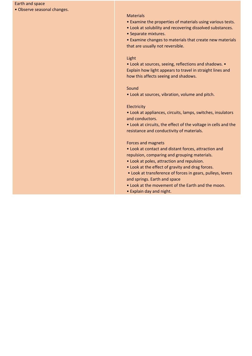#### Earth and space

• Observe seasonal changes.

#### **Materials**

- Examine the properties of materials using various tests.
- Look at solubility and recovering dissolved substances.
- Separate mixtures.

• Examine changes to materials that create new materials that are usually not reversible.

### Light

• Look at sources, seeing, reflections and shadows. • Explain how light appears to travel in straight lines and how this affects seeing and shadows.

#### Sound

• Look at sources, vibration, volume and pitch.

#### **Electricity**

• Look at appliances, circuits, lamps, switches, insulators and conductors.

• Look at circuits, the effect of the voltage in cells and the resistance and conductivity of materials.

#### Forces and magnets

• Look at contact and distant forces, attraction and repulsion, comparing and grouping materials.

- Look at poles, attraction and repulsion.
- Look at the effect of gravity and drag forces.

• Look at transference of forces in gears, pulleys, levers and springs. Earth and space

- Look at the movement of the Earth and the moon.
- Explain day and night.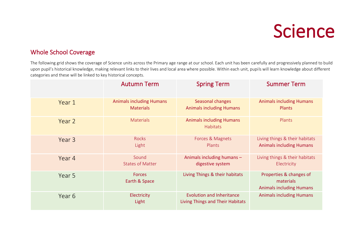## Science

### Whole School Coverage

The following grid shows the coverage of Science units across the Primary age range at our school. Each unit has been carefully and progressively planned to build upon pupil's historical knowledge, making relevant links to their lives and local area where possible. Within each unit, pupils will learn knowledge about different categories and these will be linked to key historical concepts.

|        | <b>Autumn Term</b>                                  | <b>Spring Term</b>                                                   | <b>Summer Term</b>                                                      |
|--------|-----------------------------------------------------|----------------------------------------------------------------------|-------------------------------------------------------------------------|
| Year 1 | <b>Animals including Humans</b><br><b>Materials</b> | Seasonal changes<br><b>Animals including Humans</b>                  | <b>Animals including Humans</b><br>Plants                               |
| Year 2 | <b>Materials</b>                                    | <b>Animals including Humans</b><br><b>Habitats</b>                   | Plants                                                                  |
| Year 3 | <b>Rocks</b><br>Light                               | Forces & Magnets<br>Plants                                           | Living things & their habitats<br><b>Animals including Humans</b>       |
| Year 4 | Sound<br><b>States of Matter</b>                    | Animals including humans -<br>digestive system                       | Living things & their habitats<br>Electricity                           |
| Year 5 | <b>Forces</b><br>Earth & Space                      | Living Things & their habitats                                       | Properties & changes of<br>materials<br><b>Animals including Humans</b> |
| Year 6 | Electricity<br>Light                                | <b>Evolution and Inheritance</b><br>Living Things and Their Habitats | <b>Animals including Humans</b>                                         |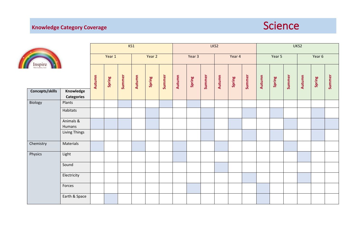



| E<br>Inspire<br>Concepts/skills<br>Knowledge<br><b>Categories</b> |                     |        |        |        |        |        |        |        |        |        |        |        |        |        |        |        |        |        |        |
|-------------------------------------------------------------------|---------------------|--------|--------|--------|--------|--------|--------|--------|--------|--------|--------|--------|--------|--------|--------|--------|--------|--------|--------|
|                                                                   |                     | Year 1 |        |        | Year 2 |        | Year 3 |        |        | Year 4 |        |        | Year 5 |        |        | Year 6 |        |        |        |
|                                                                   |                     | Autumn | Spring | Summer | Autumn | Spring | Summer | Autumn | Spring | Summer | Autumn | Spring | Summer | Autumn | Spring | Summer | Autumn | Spring | Summer |
| Biology                                                           | Plants              |        |        |        |        |        |        |        |        |        |        |        |        |        |        |        |        |        |        |
|                                                                   | Habitats            |        |        |        |        |        |        |        |        |        |        |        |        |        |        |        |        |        |        |
|                                                                   | Animals &<br>Humans |        |        |        |        |        |        |        |        |        |        |        |        |        |        |        |        |        |        |
|                                                                   | Living Things       |        |        |        |        |        |        |        |        |        |        |        |        |        |        |        |        |        |        |
| Chemistry                                                         | Materials           |        |        |        |        |        |        |        |        |        |        |        |        |        |        |        |        |        |        |
| Physics                                                           | Light               |        |        |        |        |        |        |        |        |        |        |        |        |        |        |        |        |        |        |
|                                                                   | Sound               |        |        |        |        |        |        |        |        |        |        |        |        |        |        |        |        |        |        |
|                                                                   | Electricity         |        |        |        |        |        |        |        |        |        |        |        |        |        |        |        |        |        |        |
|                                                                   | Forces              |        |        |        |        |        |        |        |        |        |        |        |        |        |        |        |        |        |        |
|                                                                   | Earth & Space       |        |        |        |        |        |        |        |        |        |        |        |        |        |        |        |        |        |        |

KS1 LKS2 UKS2